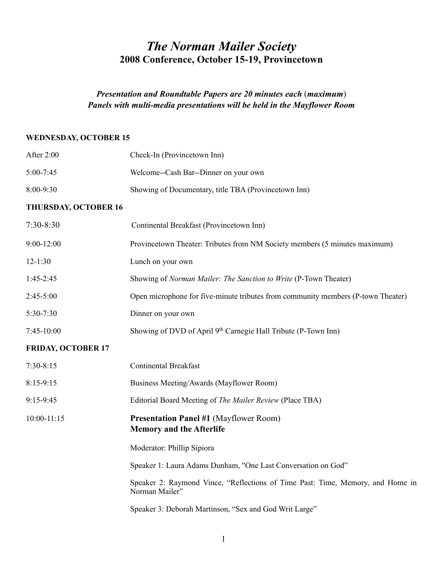## *The Norman Mailer Society* **2008 Conference, October 15-19, Provincetown**

## *Presentation and Roundtable Papers are 20 minutes each* (*maximum*) *Panels with multi-media presentations will be held in the Mayflower Room*

## **WEDNESDAY, OCTOBER 15**

| After 2:00                  | Check-In (Provincetown Inn)                                                                      |
|-----------------------------|--------------------------------------------------------------------------------------------------|
| 5:00-7:45                   | Welcome--Cash Bar--Dinner on your own                                                            |
| 8:00-9:30                   | Showing of Documentary, title TBA (Provincetown Inn)                                             |
| <b>THURSDAY, OCTOBER 16</b> |                                                                                                  |
| $7:30-8:30$                 | Continental Breakfast (Provincetown Inn)                                                         |
| $9:00-12:00$                | Provincetown Theater: Tributes from NM Society members (5 minutes maximum)                       |
| $12 - 1:30$                 | Lunch on your own                                                                                |
| $1:45 - 2:45$               | Showing of Norman Mailer: The Sanction to Write (P-Town Theater)                                 |
| $2:45-5:00$                 | Open microphone for five-minute tributes from community members (P-town Theater)                 |
| $5:30-7:30$                 | Dinner on your own                                                                               |
| 7:45-10:00                  | Showing of DVD of April 9th Carnegie Hall Tribute (P-Town Inn)                                   |
| <b>FRIDAY, OCTOBER 17</b>   |                                                                                                  |
| $7:30-8:15$                 | <b>Continental Breakfast</b>                                                                     |
| 8:15-9:15                   | Business Meeting/Awards (Mayflower Room)                                                         |
| 9:15-9:45                   | Editorial Board Meeting of The Mailer Review (Place TBA)                                         |
| 10:00-11:15                 | <b>Presentation Panel #1 (Mayflower Room)</b><br><b>Memory and the Afterlife</b>                 |
|                             | Moderator: Phillip Sipiora                                                                       |
|                             | Speaker 1: Laura Adams Dunham, "One Last Conversation on God"                                    |
|                             | Speaker 2: Raymond Vince, "Reflections of Time Past: Time, Memory, and Home in<br>Norman Mailer" |
|                             | Speaker 3: Deborah Martinson, "Sex and God Writ Large"                                           |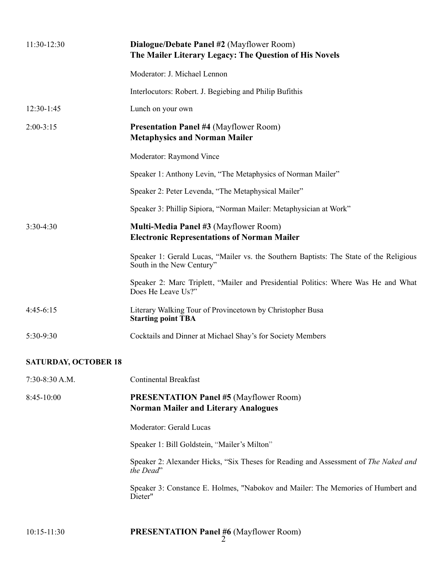| 11:30-12:30                 | Dialogue/Debate Panel #2 (Mayflower Room)<br>The Mailer Literary Legacy: The Question of His Novels                 |
|-----------------------------|---------------------------------------------------------------------------------------------------------------------|
|                             | Moderator: J. Michael Lennon                                                                                        |
|                             | Interlocutors: Robert. J. Begiebing and Philip Bufithis                                                             |
| $12:30-1:45$                | Lunch on your own                                                                                                   |
| $2:00-3:15$                 | <b>Presentation Panel #4 (Mayflower Room)</b><br><b>Metaphysics and Norman Mailer</b>                               |
|                             | Moderator: Raymond Vince                                                                                            |
|                             | Speaker 1: Anthony Levin, "The Metaphysics of Norman Mailer"                                                        |
|                             | Speaker 2: Peter Levenda, "The Metaphysical Mailer"                                                                 |
|                             | Speaker 3: Phillip Sipiora, "Norman Mailer: Metaphysician at Work"                                                  |
| $3:30-4:30$                 | Multi-Media Panel #3 (Mayflower Room)<br><b>Electronic Representations of Norman Mailer</b>                         |
|                             | Speaker 1: Gerald Lucas, "Mailer vs. the Southern Baptists: The State of the Religious<br>South in the New Century" |
|                             | Speaker 2: Marc Triplett, "Mailer and Presidential Politics: Where Was He and What<br>Does He Leave Us?"            |
| $4:45-6:15$                 | Literary Walking Tour of Provincetown by Christopher Busa<br><b>Starting point TBA</b>                              |
| 5:30-9:30                   | Cocktails and Dinner at Michael Shay's for Society Members                                                          |
| <b>SATURDAY, OCTOBER 18</b> |                                                                                                                     |
| 7:30-8:30 A.M.              | <b>Continental Breakfast</b>                                                                                        |
| 8:45-10:00                  | <b>PRESENTATION Panel #5 (Mayflower Room)</b><br><b>Norman Mailer and Literary Analogues</b>                        |
|                             | Moderator: Gerald Lucas                                                                                             |
|                             | Speaker 1: Bill Goldstein, "Mailer's Milton"                                                                        |
|                             | Speaker 2: Alexander Hicks, "Six Theses for Reading and Assessment of The Naked and<br>the Dead"                    |
|                             | Speaker 3: Constance E. Holmes, "Nabokov and Mailer: The Memories of Humbert and<br>Dieter"                         |
|                             |                                                                                                                     |

10:15-11:30 **PRESENTATION Panel #6** (Mayflower Room)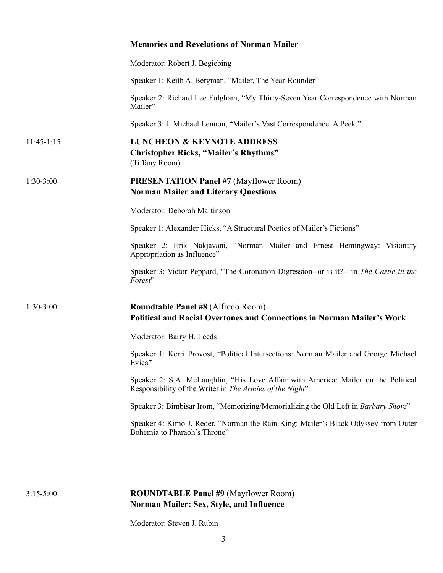|              | <b>Memories and Revelations of Norman Mailer</b>                                                                                               |
|--------------|------------------------------------------------------------------------------------------------------------------------------------------------|
|              | Moderator: Robert J. Begiebing                                                                                                                 |
|              | Speaker 1: Keith A. Bergman, "Mailer, The Year-Rounder"                                                                                        |
|              | Speaker 2: Richard Lee Fulgham, "My Thirty-Seven Year Correspondence with Norman<br>Mailer"                                                    |
|              | Speaker 3: J. Michael Lennon, "Mailer's Vast Correspondence: A Peek."                                                                          |
| $11:45-1:15$ | <b>LUNCHEON &amp; KEYNOTE ADDRESS</b><br><b>Christopher Ricks, "Mailer's Rhythms"</b><br>(Tiffany Room)                                        |
| $1:30-3:00$  | <b>PRESENTATION Panel #7 (Mayflower Room)</b><br><b>Norman Mailer and Literary Questions</b>                                                   |
|              | Moderator: Deborah Martinson                                                                                                                   |
|              | Speaker 1: Alexander Hicks, "A Structural Poetics of Mailer's Fictions"                                                                        |
|              | Speaker 2: Erik Nakjavani, "Norman Mailer and Ernest Hemingway: Visionary<br>Appropriation as Influence"                                       |
|              | Speaker 3: Victor Peppard, "The Coronation Digression--or is it?-- in The Castle in the<br>Forest"                                             |
| $1:30-3:00$  | <b>Roundtable Panel #8 (Alfredo Room)</b><br><b>Political and Racial Overtones and Connections in Norman Mailer's Work</b>                     |
|              | Moderator: Barry H. Leeds                                                                                                                      |
|              | Speaker 1: Kerri Provost, "Political Intersections: Norman Mailer and George Michael<br>Evica"                                                 |
|              | Speaker 2: S.A. McLaughlin, "His Love Affair with America: Mailer on the Political<br>Responsibility of the Writer in The Armies of the Night" |
|              | Speaker 3: Bimbisar Irom, "Memorizing/Memorializing the Old Left in Barbary Shore"                                                             |
|              | Speaker 4: Kimo J. Reder, "Norman the Rain King: Mailer's Black Odyssey from Outer<br>Bohemia to Pharaoh's Throne"                             |
|              |                                                                                                                                                |
|              |                                                                                                                                                |

## 3:15-5:00 **ROUNDTABLE Panel #9** (Mayflower Room) **Norman Mailer: Sex, Style, and Influence**

Moderator: Steven J. Rubin